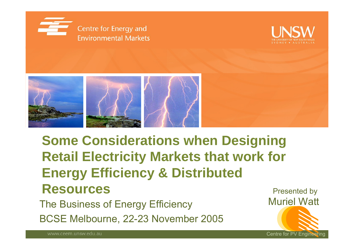





### **Some Considerations when Designing Retail Electricity Markets that work for Energy Efficiency & Distributed Resources**

The Business of Energy Efficiency **Muriel Watt** BCSE Melbourne, 22-23 November 2005

Presented by Centre for PV Engineering

www.ceem.unsw.edu.au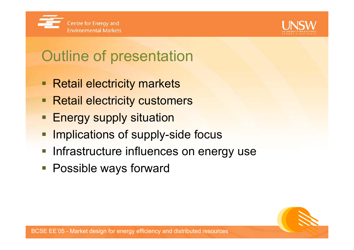



# Outline of presentation

- Retail electricity markets
- **Retail electricity customers**
- **Energy supply situation**
- Implications of supply-side focus
- **Infrastructure influences on energy use**
- Possible ways forward

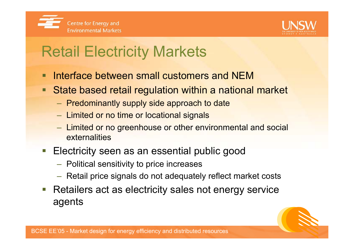



## Retail Electricity Markets

- Interface between small customers and NEM
- $\blacksquare$  State based retail regulation within a national market
	- $-$  Predominantly supply side approach to date
	- $-$  Limited or no time or locational signals
	- Limited or no greenhouse or other environmental and social externalities
- Electricity seen as an essential public good
	- $-$  Political sensitivity to price increases
	- $-$  Retail price signals do not adequately reflect market costs
- Retailers act as electricity sales not energy service agents

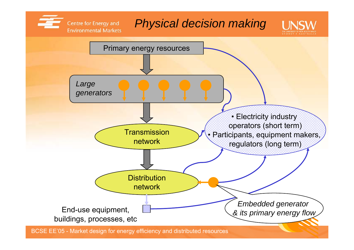#### *Physical decision making*

Centre for Energy and **Environmental Markets** 



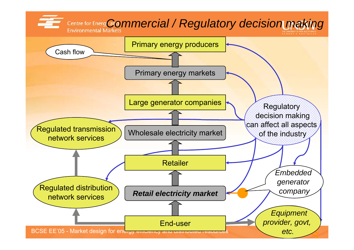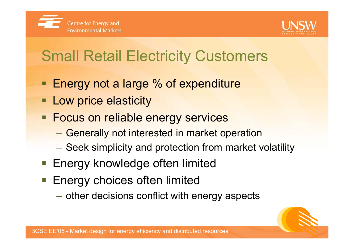



# Small Retail Electricity Customers

- **Energy not a large % of expenditure**
- **Example 2 Low price elasticity**
- **Focus on reliable energy services** 
	- Generally not interested in market operation
	- Seek simplicity and protection from market volatility
- **Energy knowledge often limited**
- **Energy choices often limited** 
	- $\mathcal{L}_{\mathcal{A}}$  , the state of the state of the state  $\mathcal{L}_{\mathcal{A}}$  $-$  other decisions conflict with energy aspects

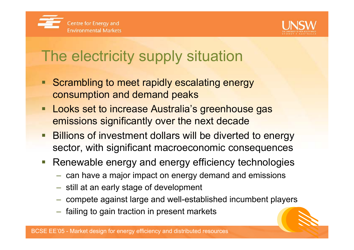



# The electricity supply situation

- Scrambling to meet rapidly escalating energy consumption and demand peaks
- **Looks set to increase Australia's greenhouse gas** emissions significantly over the next decade
- **Billions of investment dollars will be diverted to energy** sector, with significant macroeconomic consequences
- **Renewable energy and energy efficiency technologies** 
	- $-$  can have a major impact on energy demand and emissions
	- $\;$  still at an early stage of development
	- $-$  compete against large and well-established incumbent players
	- $-$  failing to gain traction in present markets  $\overline{\phantom{a}}$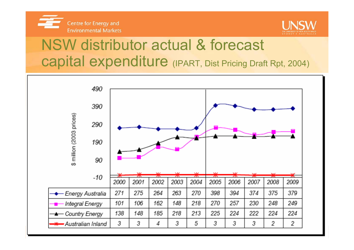



### NSW distributor actual & forecast capital expenditure (IPART, Dist Pricing Draft Rpt, 2004)

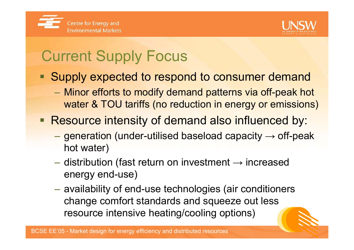



# Current Supply Focus

- **Supply expected to respond to consumer demand** 
	- $\mathcal{L}_{\mathcal{A}}$  , the state of the state of the state  $\mathcal{L}_{\mathcal{A}}$  Minor efforts to modify demand patterns via off-peak hot water & TOU tariffs (no reduction in energy or emissions)

#### **Resource intensity of demand also influenced by:**

- $-$  generation (under-utilised baseload capacity  $\rightarrow$  off-peak hot water)
- $-$  distribution (fast return on investment  $\rightarrow$  increased energy end-use)
- $\mathcal{L}_{\mathcal{A}}$  , the state of the state of the state  $\mathcal{L}_{\mathcal{A}}$  availability of end-use technologies (air conditioners change comfort standards and squeeze out less resource intensive heating/cooling options)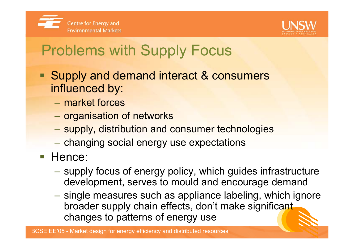



# Problems with Supply Focus

- Supply and demand interact & consumers influenced by:
	- market forces
	- $-$  organisation of networks
	- $\mathcal{L}_{\mathcal{A}}$  , the state of the state of the state  $\mathcal{L}_{\mathcal{A}}$ supply, distribution and consumer technologies
	- changing social energy use expectations
- **Hence:** 
	- supply focus of energy policy, which guides infrastructure development, serves to mould and encourage demand
	- $-$  single measures such as appliance labeling, which ignore  $\overline{\phantom{a}}$ broader supply chain effects, don't make significant changes to patterns of energy use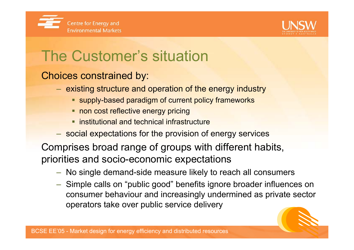



# The Customer's situation

#### Choices constrained by:

- $-$  existing structure and operation of the energy industry
	- **Supply-based paradigm of current policy frameworks**
	- **non cost reflective energy pricing**
	- **Example 1 institutional and technical infrastructure**
- social expectations for the provision of energy services

Comprises broad range of groups with different habits, priorities and socio-economic expectations

- No single demand-side measure likely to reach all consumers
- Simple calls on "public good" benefits ignore broader influences on consumer behaviour and increasingly undermined as private sector operators take over public service delivery

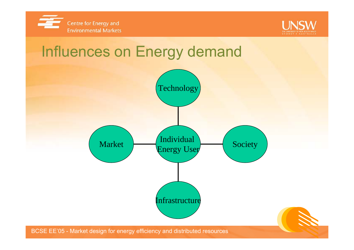



#### Influences on Energy demand

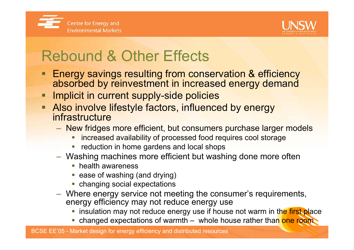



# Rebound & Other Effects

- Energy savings resulting from conservation & efficiency absorbed by reinvestment in increased energy demand
- **Implicit in current supply-side policies**
- **Also involve lifestyle factors, influenced by energy** infrastructure
	- New fridges more efficient, but consumers purchase larger models
		- **number 1** increased availability of processed food requires cool storage
		- **reduction in home gardens and local shops**
	- Washing machines more efficient but washing done more often
		- **•** health awareness
		- ease of washing (and drying)
		- changing social expectations
	- Where energy service not meeting the consumer's requirements, energy efficiency may not reduce energy use
		- **insulation may not reduce energy use if house not warm in the first place**
		- changed expectations of warmth whole house rather than one room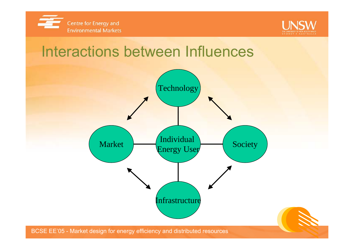



#### Interactions between Influences

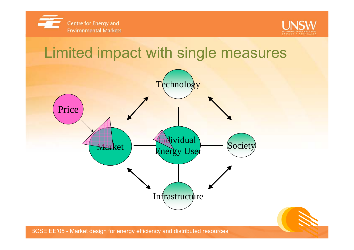



#### Limited impact with single measures



BCSE EE'05 - Market design for energy efficiency and distributed resources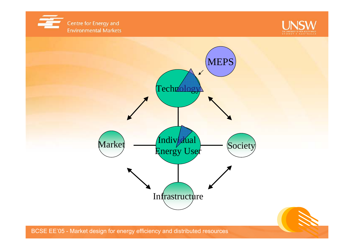





BCSE EE'05 - Market design for energy efficiency and distributed resources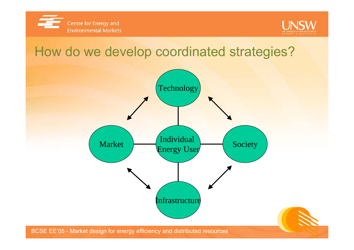



#### How do we develop coordinated strategies?

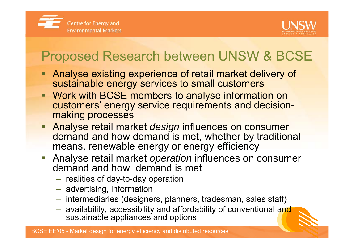



#### Proposed Research between UNSW & BCSE

- Analyse existing experience of retail market delivery of sustainable energy services to small customers
- Work with BCSE members to analyse information on customers' energy service requirements and decisionmaking processes
- **Analyse retail market** *design* **influences on consumer** demand and how demand is met, whether by traditional means, renewable energy or energy efficiency
- Analyse retail market *operation* influences on consumer demand and how demand is met
	- $-$  realities of day-to-day operation
	- $-$  advertising, information
	- $-$  intermediaries (designers, planners, tradesman, sales staff)
	- $-$  availability, accessibility and affordability of conventional and sustainable appliances and options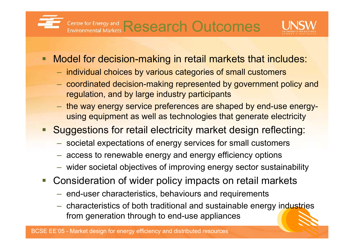### Research Outcomes



- **Model for decision-making in retail markets that includes:** 
	- $-$  individual choices by various categories of small customers
	- $-$  coordinated decision-making represented by government policy and regulation, and by large industry participants
	- the way energy service preferences are shaped by end-use energyusing equipment as well as technologies that generate electricity
- **Suggestions for retail electricity market design reflecting:** 
	- societal expectations of energy services for small customers
	- access to renewable energy and energy efficiency options
	- wider societal objectives of improving energy sector sustainability
- **Consideration of wider policy impacts on retail markets** 
	- $-$  end-user characteristics, behaviours and requirements
	- characteristics of both traditional and sustainable energy industries from generation through to end-use appliances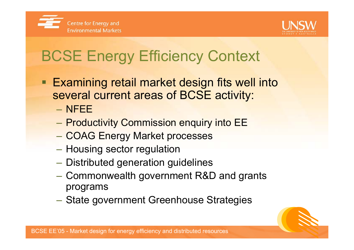



# BCSE Energy Efficiency Context

- Examining retail market design fits well into several current areas of BCSE activity:
	- NFEE
	- Productivity Commission enquiry into EE
	- COAG Energy Market processes
	- $-$  Housing sector regulation
	- $\mathcal{L}_{\mathcal{A}}$  , the state of the state of the state  $\mathcal{L}_{\mathcal{A}}$  $-$  Distributed generation guidelines
	- Commonwealth government R&D and grants programs
	- –State government Greenhouse Strategies

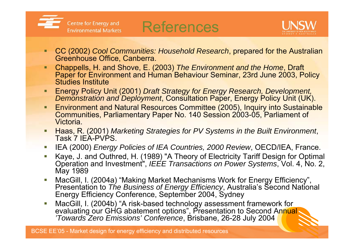



- о CC (2002) *Cool Communities: Household Research*, prepared for the Australian Greenhouse Office, Canberra.
- П Chappells, H. and Shove, E. (2003) *The Environment and the Home*, Draft Paper for Environment and Human Behaviour Seminar, 23rd June 2003, Policy Studies Institute
- П Energy Policy Unit (2001) *Draft Strategy for Energy Research, Development,*  **Demonstration and Deployment, Consultation Paper, Energy Policy Unit (UK).**
- Environment and Natural Resources Committee (2005), Inquiry into Sustainable Communities, Parliamentary Paper No. 140 Session 2003-05, Parliament of Victoria.
- Haas, R. (2001) *Marketing Strategies for PV Systems in the Built Environment*, Task 7 IEA-PVPS.
- ▉ IEA (2000) *Energy Policies of IEA Countries, 2000 Review*, OECD/IEA, France.
- ▁ Kaye, J. and Outhred, H. (1989) "A Theory of Electricity Tariff Design for Optimal Operation and Investment", *IEEE Transactions on Power Systems*, Vol. 4, No. 2, May 1989
- ▉ MacGill, I. (2004a) "Making Market Mechanisms Work for Energy Efficiency", Presentation to *The Business of Energy Efficiency*, Australia's Second National Energy Efficiency Conference, September 2004, Sydney
- ▉ MacGill, I. (2004b) "A risk-based technology assessment framework for evaluating our GHG abatement options", Presentation to Second Annual, *'Towards Zero Emissions' Conference*, Brisbane, 26-28 July 2004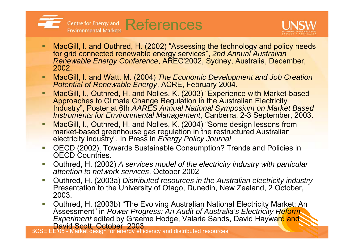



- П ■ MacGill, I. and Outhred, H. (2002) "Assessing the technology and policy needs for grid connected renewable energy services", *2nd Annual Australian Renewable Energy Conference*, AREC'2002, Sydney, Australia, December, 2002.
- MacGill, I. and Watt, M. (2004) *The Economic Development and Job Creation Potential of Renewable Energy*, ACRE, February 2004.
- П MacGill, I., Outhred, H. and Nolles, K. (2003) "Experience with Market-based Approaches to Climate Change Regulation in the Australian Electricity Industry", Poster at 6th *AARES Annual National Symposium on Market Based Instruments for Environmental Management*, Canberra, 2-3 September, 2003.
- П MacGill, I., Outhred, H. and Nolles, K. (2004) "Some design lessons from market-based greenhouse gas regulation in the restructured Australian electricity industry", In Press in *Energy Policy Journal*
- ▉ OECD (2002), Towards Sustainable Consumption? Trends and Policies in OECD Countries.
- П Outhred, H. (2002) *A services model of the electricity industry with particular attention to network services*, October 2002
- ▉ Outhred, H. (2003a) *Distributed resources in the Australian electricity industry* Presentation to the University of Otago, Dunedin, New Zealand, 2 October, 2003.
- ▉ Outhred, H. (2003b) "The Evolving Australian National Electricity Market: An Assessment" in *Power Progress: An Audit of Australia's Electricity Reform*  **Experiment edited by Graeme Hodge, Valarie Sands, David Hayward and** David Scott, October, 2003.

BCSE EE'05 - Market design for energy efficiency and distributed resources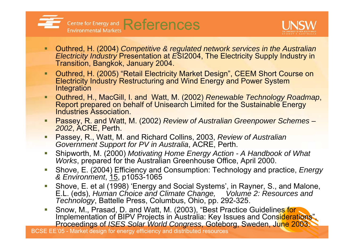



- ٠ Outhred, H. (2004) *Competitive & regulated network services in the Australian Electricity Industry* Presentation at *E*SI2004, The Electricity Supply Industry in Transition, Bangkok, January 2004.
- ٠ Outhred, H. (2005) "Retail Electricity Market Design", CEEM Short Course on Electricity Industry Restructuring and Wind Energy and Power System Integration
- п Outhred, H., MacGill, I. and Watt, M. (2002) *Renewable Technology Roadmap*, Report prepared on behalf of Unisearch Limited for the Sustainable Energy Industries Association.
- Passey, R. and Watt, M. (2002) *Review of Australian Greenpower Schemes – 2002*, ACRE, Perth.
- П Passey, R., Watt, M. and Richard Collins, 2003, *Review of Australian Government Support for PV in Australia*, ACRE, Perth.
- П Shipworth, M. (2000) *Motivating Home Energy Action - A Handbook of What Works*, prepared for the Australian Greenhouse Office, April 2000.
- ▁ Shove, E. (2004) Efficiency and Consumption: Technology and practice, *Energy & Environment*, 15, p1053-1065
- П Shove, E. et al (1998) 'Energy and Social Systems', in Rayner, S., and Malone, E.L. (eds), *Human Choice and Climate Change, Volume 2: Resources and Technology*, Battelle Press, Columbus, Ohio, pp. 292-325.
- П Snow, M., Prasad, D. and Watt, M. (2003), "Best Practice Guidelines for Implementation of BIPV Projects in Australia: Key Issues and Considerations", Proceedings of *ISES Solar World Congress*, Goteborg, Sweden, June 2003.

BCSE EE'05 - Market design for energy efficiency and distributed resources